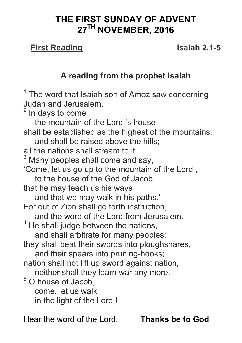# **THE FIRST SUNDAY OF ADVENT 27TH NOVEMBER, 2016**

#### **First Reading Isaiah 2.1-5**

### **A reading from the prophet Isaiah**

 $1$  The word that Isaiah son of Amoz saw concerning Judah and Jerusalem.

 $2$  In days to come

 the mountain of the Lord 's house shall be established as the highest of the mountains, and shall be raised above the hills; all the nations shall stream to it.  $3$  Many peoples shall come and say, 'Come, let us go up to the mountain of the Lord , to the house of the God of Jacob; that he may teach us his ways and that we may walk in his paths.' For out of Zion shall go forth instruction, and the word of the Lord from Jerusalem.  $4$  He shall judge between the nations, and shall arbitrate for many peoples; they shall beat their swords into ploughshares, and their spears into pruning-hooks; nation shall not lift up sword against nation, neither shall they learn war any more. <sup>5</sup> O house of Jacob, come, let us walk in the light of the Lord !

Hear the word of the Lord. **Thanks be to God**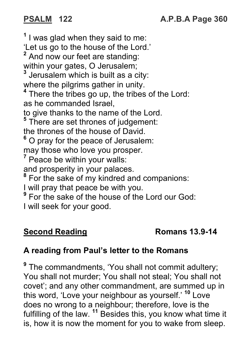**1** I was glad when they said to me: 'Let us go to the house of the Lord.' <sup>2</sup> And now our feet are standing: within your gates, O Jerusalem; **3** Jerusalem which is built as a city: where the pilgrims gather in unity. **4** There the tribes go up, the tribes of the Lord: as he commanded Israel, to give thanks to the name of the Lord. **5** There are set thrones of judgement: the thrones of the house of David. <sup>6</sup> O pray for the peace of Jerusalem: may those who love you prosper. <sup>7</sup> Peace be within your walls: and prosperity in your palaces. <sup>8</sup> For the sake of my kindred and companions: I will pray that peace be with you. <sup>9</sup> For the sake of the house of the Lord our God:

I will seek for your good.

# **Second Reading**  Romans 13.9-14

# **A reading from Paul's letter to the Romans**

**<sup>9</sup>** The commandments, 'You shall not commit adultery; You shall not murder; You shall not steal; You shall not covet'; and any other commandment, are summed up in this word, 'Love your neighbour as yourself.' **<sup>10</sup>** Love does no wrong to a neighbour; therefore, love is the fulfilling of the law. **<sup>11</sup>** Besides this, you know what time it is, how it is now the moment for you to wake from sleep.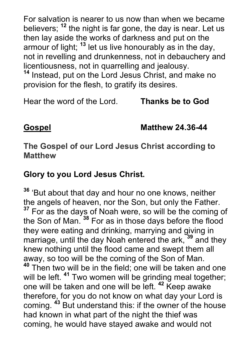For salvation is nearer to us now than when we became believers; **<sup>12</sup>** the night is far gone, the day is near. Let us then lay aside the works of darkness and put on the armour of light; **<sup>13</sup>** let us live honourably as in the day, not in revelling and drunkenness, not in debauchery and licentiousness, not in quarrelling and jealousy.

**<sup>14</sup>** Instead, put on the Lord Jesus Christ, and make no provision for the flesh, to gratify its desires.

Hear the word of the Lord. **Thanks be to God**

**Gospel Matthew 24.36-44**

**The Gospel of our Lord Jesus Christ according to Matthew**

#### **Glory to you Lord Jesus Christ.**

**<sup>36</sup>** 'But about that day and hour no one knows, neither the angels of heaven, nor the Son, but only the Father. <sup>37</sup> For as the days of Noah were, so will be the coming of the Son of Man. **<sup>38</sup>** For as in those days before the flood they were eating and drinking, marrying and giving in marriage, until the day Noah entered the ark, **<sup>39</sup>** and they knew nothing until the flood came and swept them all away, so too will be the coming of the Son of Man. **<sup>40</sup>** Then two will be in the field; one will be taken and one will be left. **<sup>41</sup>** Two women will be grinding meal together; one will be taken and one will be left. **<sup>42</sup>** Keep awake therefore, for you do not know on what day your Lord is coming. **<sup>43</sup>** But understand this: if the owner of the house had known in what part of the night the thief was coming, he would have stayed awake and would not